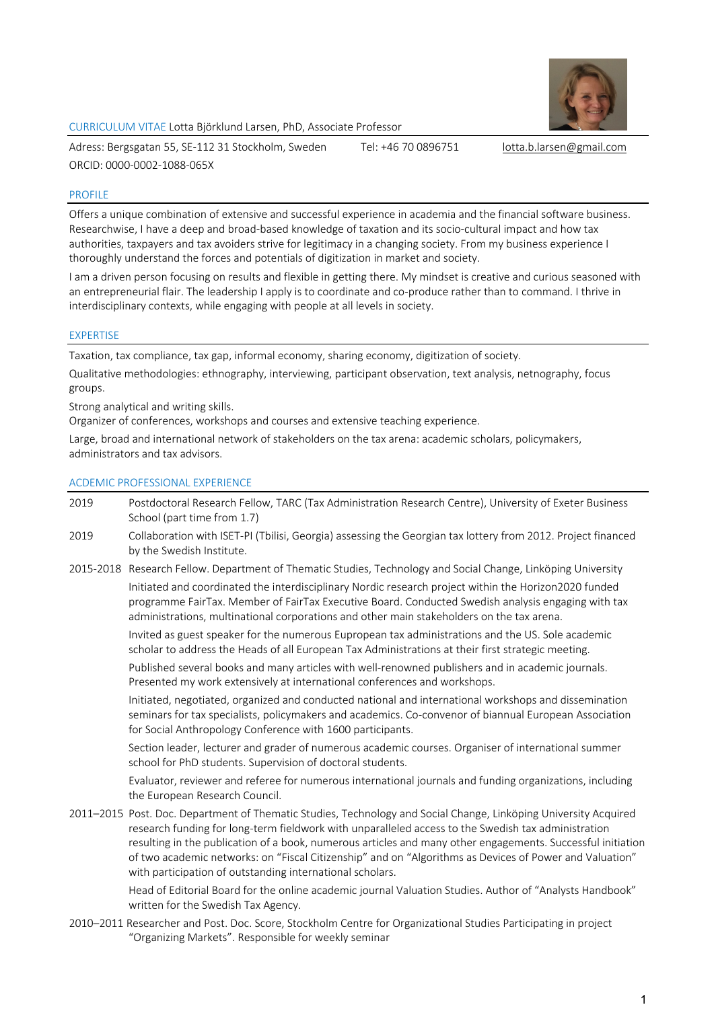

CURRICULUM VITAE Lotta Björklund Larsen, PhD, Associate Professor

Adress: Bergsgatan 55, SE-112 31 Stockholm, Sweden Tel: +46 70 0896751 lotta.b.larsen@gmail.com ORCID: 0000-0002-1088-065X

#### PROFILE

Offers a unique combination of extensive and successful experience in academia and the financial software business. Researchwise, I have a deep and broad-based knowledge of taxation and its socio-cultural impact and how tax authorities, taxpayers and tax avoiders strive for legitimacy in a changing society. From my business experience I thoroughly understand the forces and potentials of digitization in market and society.

I am a driven person focusing on results and flexible in getting there. My mindset is creative and curious seasoned with an entrepreneurial flair. The leadership I apply is to coordinate and co-produce rather than to command. I thrive in interdisciplinary contexts, while engaging with people at all levels in society.

#### EXPERTISE

Taxation, tax compliance, tax gap, informal economy, sharing economy, digitization of society.

Qualitative methodologies: ethnography, interviewing, participant observation, text analysis, netnography, focus groups.

Strong analytical and writing skills.

Organizer of conferences, workshops and courses and extensive teaching experience.

Large, broad and international network of stakeholders on the tax arena: academic scholars, policymakers, administrators and tax advisors.

#### ACDEMIC PROFESSIONAL EXPERIENCE

- 2019 Postdoctoral Research Fellow, TARC (Tax Administration Research Centre), University of Exeter Business School (part time from 1.7)
- 2019 Collaboration with ISET-PI (Tbilisi, Georgia) assessing the Georgian tax lottery from 2012. Project financed by the Swedish Institute.
- 2015-2018 Research Fellow. Department of Thematic Studies, Technology and Social Change, Linköping University Initiated and coordinated the interdisciplinary Nordic research project within the Horizon2020 funded programme FairTax. Member of FairTax Executive Board. Conducted Swedish analysis engaging with tax administrations, multinational corporations and other main stakeholders on the tax arena.

Invited as guest speaker for the numerous Eupropean tax administrations and the US. Sole academic scholar to address the Heads of all European Tax Administrations at their first strategic meeting.

Published several books and many articles with well-renowned publishers and in academic journals. Presented my work extensively at international conferences and workshops.

Initiated, negotiated, organized and conducted national and international workshops and dissemination seminars for tax specialists, policymakers and academics. Co-convenor of biannual European Association for Social Anthropology Conference with 1600 participants.

Section leader, lecturer and grader of numerous academic courses. Organiser of international summer school for PhD students. Supervision of doctoral students.

Evaluator, reviewer and referee for numerous international journals and funding organizations, including the European Research Council.

2011–2015 Post. Doc. Department of Thematic Studies, Technology and Social Change, Linköping University Acquired research funding for long-term fieldwork with unparalleled access to the Swedish tax administration resulting in the publication of a book, numerous articles and many other engagements. Successful initiation of two academic networks: on "Fiscal Citizenship" and on "Algorithms as Devices of Power and Valuation" with participation of outstanding international scholars.

Head of Editorial Board for the online academic journal Valuation Studies. Author of "Analysts Handbook" written for the Swedish Tax Agency.

2010–2011 Researcher and Post. Doc. Score, Stockholm Centre for Organizational Studies Participating in project "Organizing Markets". Responsible for weekly seminar